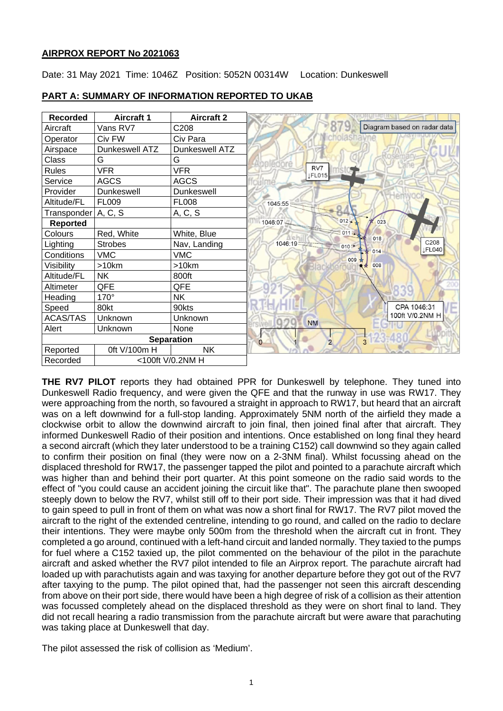### **AIRPROX REPORT No 2021063**

Date: 31 May 2021 Time: 1046Z Position: 5052N 00314W Location: Dunkeswell



### **PART A: SUMMARY OF INFORMATION REPORTED TO UKAB**

**THE RV7 PILOT** reports they had obtained PPR for Dunkeswell by telephone. They tuned into Dunkeswell Radio frequency, and were given the QFE and that the runway in use was RW17. They were approaching from the north, so favoured a straight in approach to RW17, but heard that an aircraft was on a left downwind for a full-stop landing. Approximately 5NM north of the airfield they made a clockwise orbit to allow the downwind aircraft to join final, then joined final after that aircraft. They informed Dunkeswell Radio of their position and intentions. Once established on long final they heard a second aircraft (which they later understood to be a training C152) call downwind so they again called to confirm their position on final (they were now on a 2-3NM final). Whilst focussing ahead on the displaced threshold for RW17, the passenger tapped the pilot and pointed to a parachute aircraft which was higher than and behind their port quarter. At this point someone on the radio said words to the effect of "you could cause an accident joining the circuit like that". The parachute plane then swooped steeply down to below the RV7, whilst still off to their port side. Their impression was that it had dived to gain speed to pull in front of them on what was now a short final for RW17. The RV7 pilot moved the aircraft to the right of the extended centreline, intending to go round, and called on the radio to declare their intentions. They were maybe only 500m from the threshold when the aircraft cut in front. They completed a go around, continued with a left-hand circuit and landed normally. They taxied to the pumps for fuel where a C152 taxied up, the pilot commented on the behaviour of the pilot in the parachute aircraft and asked whether the RV7 pilot intended to file an Airprox report. The parachute aircraft had loaded up with parachutists again and was taxying for another departure before they got out of the RV7 after taxying to the pump. The pilot opined that, had the passenger not seen this aircraft descending from above on their port side, there would have been a high degree of risk of a collision as their attention was focussed completely ahead on the displaced threshold as they were on short final to land. They did not recall hearing a radio transmission from the parachute aircraft but were aware that parachuting was taking place at Dunkeswell that day.

The pilot assessed the risk of collision as 'Medium'.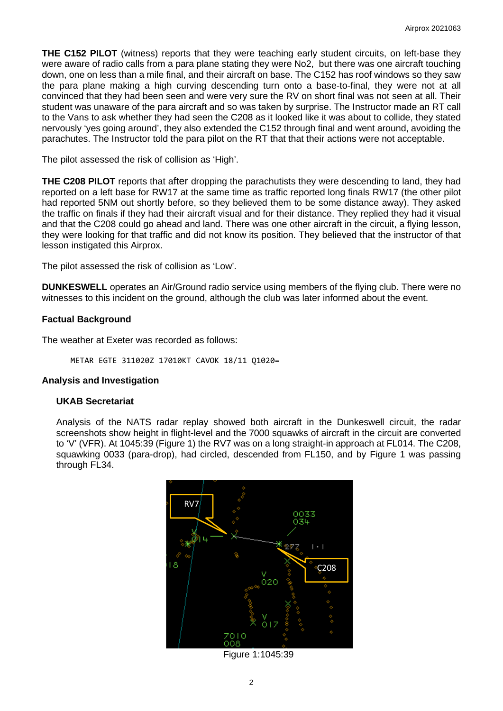**THE C152 PILOT** (witness) reports that they were teaching early student circuits, on left-base they were aware of radio calls from a para plane stating they were No2, but there was one aircraft touching down, one on less than a mile final, and their aircraft on base. The C152 has roof windows so they saw the para plane making a high curving descending turn onto a base-to-final, they were not at all convinced that they had been seen and were very sure the RV on short final was not seen at all. Their student was unaware of the para aircraft and so was taken by surprise. The Instructor made an RT call to the Vans to ask whether they had seen the C208 as it looked like it was about to collide, they stated nervously 'yes going around', they also extended the C152 through final and went around, avoiding the parachutes. The Instructor told the para pilot on the RT that that their actions were not acceptable.

The pilot assessed the risk of collision as 'High'.

**THE C208 PILOT** reports that after dropping the parachutists they were descending to land, they had reported on a left base for RW17 at the same time as traffic reported long finals RW17 (the other pilot had reported 5NM out shortly before, so they believed them to be some distance away). They asked the traffic on finals if they had their aircraft visual and for their distance. They replied they had it visual and that the C208 could go ahead and land. There was one other aircraft in the circuit, a flying lesson, they were looking for that traffic and did not know its position. They believed that the instructor of that lesson instigated this Airprox.

The pilot assessed the risk of collision as 'Low'.

**DUNKESWELL** operates an Air/Ground radio service using members of the flying club. There were no witnesses to this incident on the ground, although the club was later informed about the event.

### **Factual Background**

The weather at Exeter was recorded as follows:

METAR EGTE 311020Z 17010KT CAVOK 18/11 Q1020=

## **Analysis and Investigation**

#### **UKAB Secretariat**

Analysis of the NATS radar replay showed both aircraft in the Dunkeswell circuit, the radar screenshots show height in flight-level and the 7000 squawks of aircraft in the circuit are converted to 'V' (VFR). At 1045:39 (Figure 1) the RV7 was on a long straight-in approach at FL014. The C208, squawking 0033 (para-drop), had circled, descended from FL150, and by Figure 1 was passing through FL34.



Figure 1:1045:39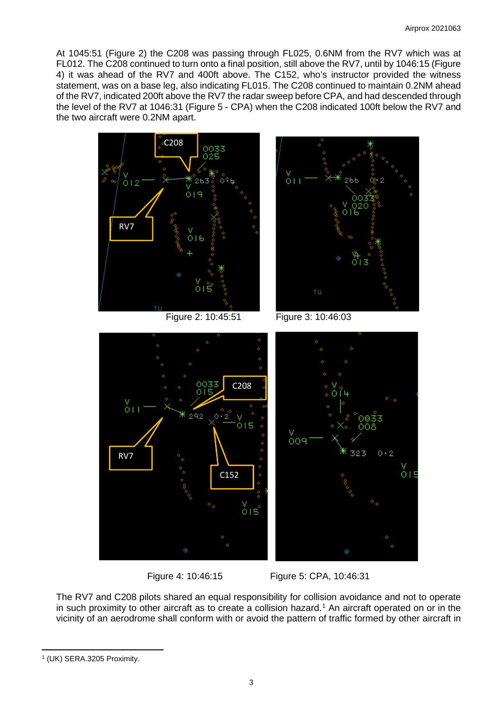At 1045:51 (Figure 2) the C208 was passing through FL025, 0.6NM from the RV7 which was at FL012. The C208 continued to turn onto a final position, still above the RV7, until by 1046:15 (Figure 4) it was ahead of the RV7 and 400ft above. The C152, who's instructor provided the witness statement, was on a base leg, also indicating FL015. The C208 continued to maintain 0.2NM ahead of the RV7, indicated 200ft above the RV7 the radar sweep before CPA, and had descended through the level of the RV7 at 1046:31 (Figure 5 - CPA) when the C208 indicated 100ft below the RV7 and the two aircraft were 0.2NM apart.



Figure 4: 10:46:15 Figure 5: CPA, 10:46:31

The RV7 and C208 pilots shared an equal responsibility for collision avoidance and not to operate in such proximity to other aircraft as to create a collision hazard. [1](#page-2-0) An aircraft operated on or in the vicinity of an aerodrome shall conform with or avoid the pattern of traffic formed by other aircraft in

<span id="page-2-0"></span><sup>1</sup> (UK) SERA.3205 Proximity.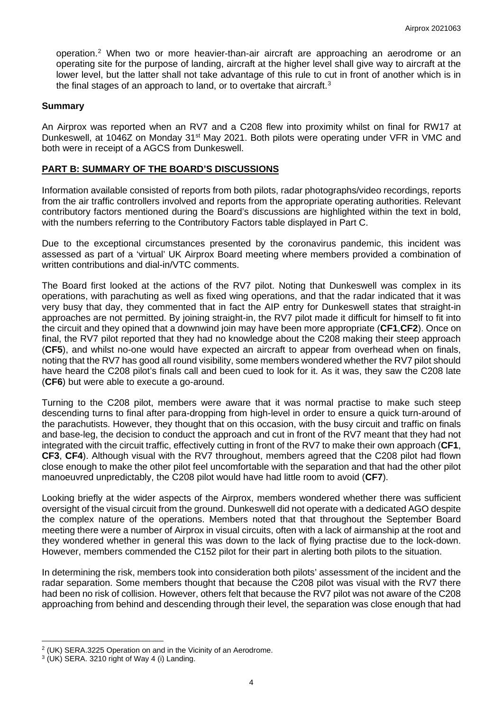operation. [2](#page-3-0) When two or more heavier-than-air aircraft are approaching an aerodrome or an operating site for the purpose of landing, aircraft at the higher level shall give way to aircraft at the lower level, but the latter shall not take advantage of this rule to cut in front of another which is in the final stages of an approach to land, or to overtake that aircraft.<sup>[3](#page-3-1)</sup>

#### **Summary**

An Airprox was reported when an RV7 and a C208 flew into proximity whilst on final for RW17 at Dunkeswell, at 1046Z on Monday 31<sup>st</sup> May 2021. Both pilots were operating under VFR in VMC and both were in receipt of a AGCS from Dunkeswell.

#### **PART B: SUMMARY OF THE BOARD'S DISCUSSIONS**

Information available consisted of reports from both pilots, radar photographs/video recordings, reports from the air traffic controllers involved and reports from the appropriate operating authorities. Relevant contributory factors mentioned during the Board's discussions are highlighted within the text in bold, with the numbers referring to the Contributory Factors table displayed in Part C.

Due to the exceptional circumstances presented by the coronavirus pandemic, this incident was assessed as part of a 'virtual' UK Airprox Board meeting where members provided a combination of written contributions and dial-in/VTC comments.

The Board first looked at the actions of the RV7 pilot. Noting that Dunkeswell was complex in its operations, with parachuting as well as fixed wing operations, and that the radar indicated that it was very busy that day, they commented that in fact the AIP entry for Dunkeswell states that straight-in approaches are not permitted. By joining straight-in, the RV7 pilot made it difficult for himself to fit into the circuit and they opined that a downwind join may have been more appropriate (**CF1**,**CF2**). Once on final, the RV7 pilot reported that they had no knowledge about the C208 making their steep approach (**CF5**), and whilst no-one would have expected an aircraft to appear from overhead when on finals, noting that the RV7 has good all round visibility, some members wondered whether the RV7 pilot should have heard the C208 pilot's finals call and been cued to look for it. As it was, they saw the C208 late (**CF6**) but were able to execute a go-around.

Turning to the C208 pilot, members were aware that it was normal practise to make such steep descending turns to final after para-dropping from high-level in order to ensure a quick turn-around of the parachutists. However, they thought that on this occasion, with the busy circuit and traffic on finals and base-leg, the decision to conduct the approach and cut in front of the RV7 meant that they had not integrated with the circuit traffic, effectively cutting in front of the RV7 to make their own approach (**CF1**, **CF3**, **CF4**). Although visual with the RV7 throughout, members agreed that the C208 pilot had flown close enough to make the other pilot feel uncomfortable with the separation and that had the other pilot manoeuvred unpredictably, the C208 pilot would have had little room to avoid (**CF7**).

Looking briefly at the wider aspects of the Airprox, members wondered whether there was sufficient oversight of the visual circuit from the ground. Dunkeswell did not operate with a dedicated AGO despite the complex nature of the operations. Members noted that that throughout the September Board meeting there were a number of Airprox in visual circuits, often with a lack of airmanship at the root and they wondered whether in general this was down to the lack of flying practise due to the lock-down. However, members commended the C152 pilot for their part in alerting both pilots to the situation.

In determining the risk, members took into consideration both pilots' assessment of the incident and the radar separation. Some members thought that because the C208 pilot was visual with the RV7 there had been no risk of collision. However, others felt that because the RV7 pilot was not aware of the C208 approaching from behind and descending through their level, the separation was close enough that had

<span id="page-3-0"></span><sup>2</sup> (UK) SERA.3225 Operation on and in the Vicinity of an Aerodrome.

<span id="page-3-1"></span> $3$  (UK) SERA. 3210 right of Way 4 (i) Landing.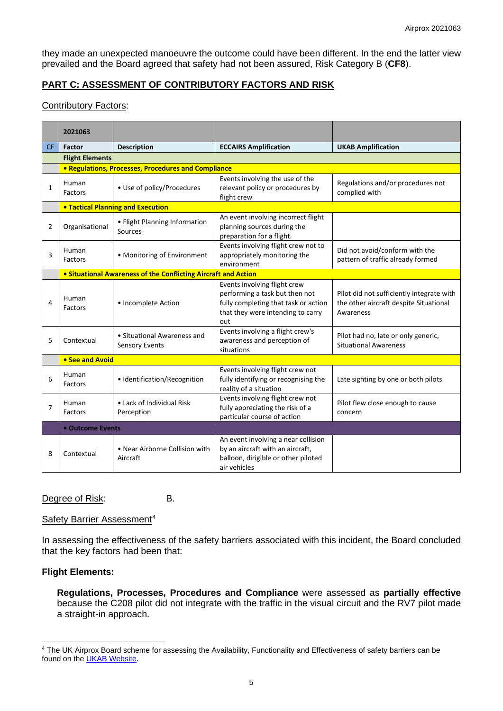they made an unexpected manoeuvre the outcome could have been different. In the end the latter view prevailed and the Board agreed that safety had not been assured, Risk Category B (**CF8**).

# **PART C: ASSESSMENT OF CONTRIBUTORY FACTORS AND RISK**

## Contributory Factors:

|                | 2021063                                  |                                                                |                                                                                                                                                    |                                                                                                  |  |  |  |  |  |  |  |
|----------------|------------------------------------------|----------------------------------------------------------------|----------------------------------------------------------------------------------------------------------------------------------------------------|--------------------------------------------------------------------------------------------------|--|--|--|--|--|--|--|
| <b>CF</b>      | <b>Factor</b>                            | <b>Description</b>                                             | <b>ECCAIRS Amplification</b>                                                                                                                       | <b>UKAB Amplification</b>                                                                        |  |  |  |  |  |  |  |
|                | <b>Flight Elements</b>                   |                                                                |                                                                                                                                                    |                                                                                                  |  |  |  |  |  |  |  |
|                |                                          | • Regulations, Processes, Procedures and Compliance            |                                                                                                                                                    |                                                                                                  |  |  |  |  |  |  |  |
| 1              | Human<br>Factors                         | • Use of policy/Procedures                                     | Events involving the use of the<br>relevant policy or procedures by<br>flight crew                                                                 | Regulations and/or procedures not<br>complied with                                               |  |  |  |  |  |  |  |
|                | <b>.</b> Tactical Planning and Execution |                                                                |                                                                                                                                                    |                                                                                                  |  |  |  |  |  |  |  |
| 2              | Organisational                           | • Flight Planning Information<br>Sources                       | An event involving incorrect flight<br>planning sources during the<br>preparation for a flight.                                                    |                                                                                                  |  |  |  |  |  |  |  |
| 3              | Human<br>Factors                         | • Monitoring of Environment                                    | Events involving flight crew not to<br>appropriately monitoring the<br>environment                                                                 | Did not avoid/conform with the<br>pattern of traffic already formed                              |  |  |  |  |  |  |  |
|                |                                          | • Situational Awareness of the Conflicting Aircraft and Action |                                                                                                                                                    |                                                                                                  |  |  |  |  |  |  |  |
| $\Delta$       | Human<br>Factors                         | • Incomplete Action                                            | Events involving flight crew<br>performing a task but then not<br>fully completing that task or action<br>that they were intending to carry<br>out | Pilot did not sufficiently integrate with<br>the other aircraft despite Situational<br>Awareness |  |  |  |  |  |  |  |
| 5              | Contextual                               | • Situational Awareness and<br><b>Sensory Events</b>           | Events involving a flight crew's<br>awareness and perception of<br>situations                                                                      | Pilot had no, late or only generic,<br><b>Situational Awareness</b>                              |  |  |  |  |  |  |  |
|                | • See and Avoid                          |                                                                |                                                                                                                                                    |                                                                                                  |  |  |  |  |  |  |  |
| 6              | Human<br>Factors                         | · Identification/Recognition                                   | Events involving flight crew not<br>fully identifying or recognising the<br>reality of a situation                                                 | Late sighting by one or both pilots                                                              |  |  |  |  |  |  |  |
| $\overline{7}$ | Human<br>Factors                         | • Lack of Individual Risk<br>Perception                        | Events involving flight crew not<br>fully appreciating the risk of a<br>particular course of action                                                | Pilot flew close enough to cause<br>concern                                                      |  |  |  |  |  |  |  |
|                | • Outcome Events                         |                                                                |                                                                                                                                                    |                                                                                                  |  |  |  |  |  |  |  |
| 8              | Contextual                               | • Near Airborne Collision with<br>Aircraft                     | An event involving a near collision<br>by an aircraft with an aircraft,<br>balloon, dirigible or other piloted<br>air vehicles                     |                                                                                                  |  |  |  |  |  |  |  |

Degree of Risk: B.

## Safety Barrier Assessment<sup>[4](#page-4-0)</sup>

In assessing the effectiveness of the safety barriers associated with this incident, the Board concluded that the key factors had been that:

## **Flight Elements:**

**Regulations, Processes, Procedures and Compliance** were assessed as **partially effective** because the C208 pilot did not integrate with the traffic in the visual circuit and the RV7 pilot made a straight-in approach.

<span id="page-4-0"></span><sup>&</sup>lt;sup>4</sup> The UK Airprox Board scheme for assessing the Availability, Functionality and Effectiveness of safety barriers can be found on the **UKAB Website**.